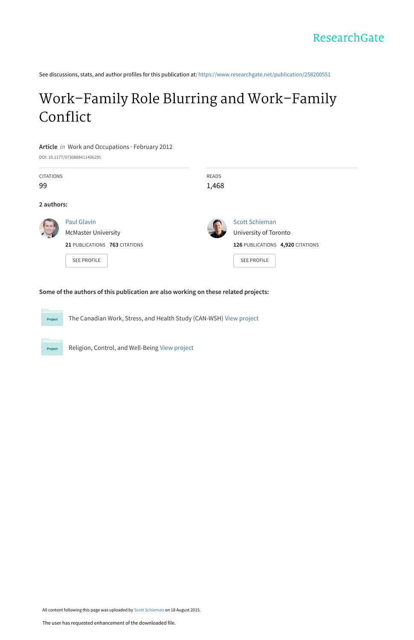See discussions, stats, and author profiles for this publication at: [https://www.researchgate.net/publication/258200551](https://www.researchgate.net/publication/258200551_Work-Family_Role_Blurring_and_Work-Family_Conflict?enrichId=rgreq-2a211595a20bceb8ce0b4b02d5a54c67-XXX&enrichSource=Y292ZXJQYWdlOzI1ODIwMDU1MTtBUzoyNjM3ODIwMDE4MDMyNjZAMTQzOTkwMTkzODY5NA%3D%3D&el=1_x_2&_esc=publicationCoverPdf)

# [Work–Family Role Blurring and Work–Family](https://www.researchgate.net/publication/258200551_Work-Family_Role_Blurring_and_Work-Family_Conflict?enrichId=rgreq-2a211595a20bceb8ce0b4b02d5a54c67-XXX&enrichSource=Y292ZXJQYWdlOzI1ODIwMDU1MTtBUzoyNjM3ODIwMDE4MDMyNjZAMTQzOTkwMTkzODY5NA%3D%3D&el=1_x_3&_esc=publicationCoverPdf) Conflict

#### **Article** in Work and Occupations · February 2012

DOI: 10.1177/0730888411406295

|                               | READS                            |       |
|-------------------------------|----------------------------------|-------|
|                               |                                  |       |
|                               |                                  |       |
| Paul Glavin                   | Scott Schieman                   |       |
| <b>McMaster University</b>    | University of Toronto            |       |
| 21 PUBLICATIONS 763 CITATIONS | 126 PUBLICATIONS 4,920 CITATIONS |       |
| <b>SEE PROFILE</b>            | <b>SEE PROFILE</b>               |       |
|                               | <b>CITATIONS</b><br>2 authors:   | 1,468 |

#### **Some of the authors of this publication are also working on these related projects:**



The Canadian Work, Stress, and Health Study (CAN-WSH) [View project](https://www.researchgate.net/project/The-Canadian-Work-Stress-and-Health-Study-CAN-WSH?enrichId=rgreq-2a211595a20bceb8ce0b4b02d5a54c67-XXX&enrichSource=Y292ZXJQYWdlOzI1ODIwMDU1MTtBUzoyNjM3ODIwMDE4MDMyNjZAMTQzOTkwMTkzODY5NA%3D%3D&el=1_x_9&_esc=publicationCoverPdf)



Religion, Control, and Well-Being [View project](https://www.researchgate.net/project/Religion-Control-and-Well-Being?enrichId=rgreq-2a211595a20bceb8ce0b4b02d5a54c67-XXX&enrichSource=Y292ZXJQYWdlOzI1ODIwMDU1MTtBUzoyNjM3ODIwMDE4MDMyNjZAMTQzOTkwMTkzODY5NA%3D%3D&el=1_x_9&_esc=publicationCoverPdf)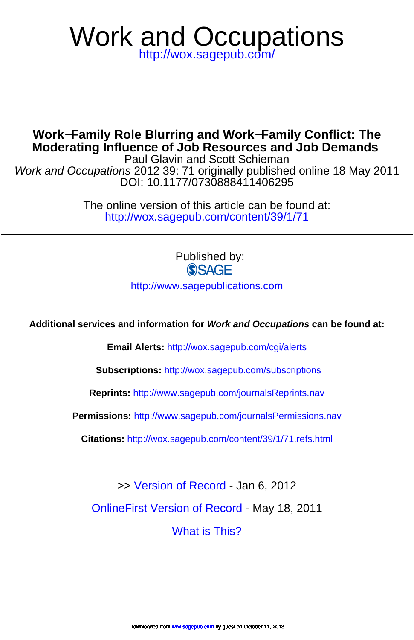# Work and Occupations<br><http://wox.sagepub.com/>

**Moderating Influence of Job Resources and Job Demands Work**−**Family Role Blurring and Work**−**Family Conflict: The**

DOI: 10.1177/0730888411406295 Work and Occupations 2012 39: 71 originally published online 18 May 2011 Paul Glavin and Scott Schieman

> <http://wox.sagepub.com/content/39/1/71> The online version of this article can be found at:

> > Published by: **SSAGE**

<http://www.sagepublications.com>

**Additional services and information for Work and Occupations can be found at:**

**Email Alerts:** <http://wox.sagepub.com/cgi/alerts>

**Subscriptions:** <http://wox.sagepub.com/subscriptions>

**Reprints:** <http://www.sagepub.com/journalsReprints.nav>

**Permissions:** <http://www.sagepub.com/journalsPermissions.nav>

**Citations:** <http://wox.sagepub.com/content/39/1/71.refs.html>

>> [Version of Record -](http://wox.sagepub.com/content/39/1/71.full.pdf) Jan 6, 2012

[OnlineFirst Version of Record](http://wox.sagepub.com/content/early/2011/05/13/0730888411406295.full.pdf) - May 18, 2011

[What is This?](http://online.sagepub.com/site/sphelp/vorhelp.xhtml)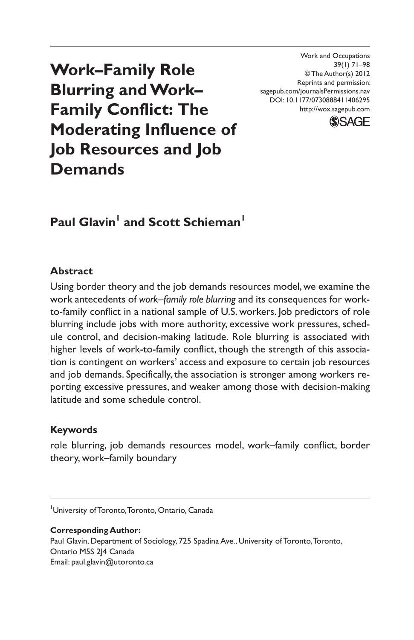**Work–Family Role Blurring and Work– Family Conflict: The Moderating Influence of Job Resources and Job Demands**

Work and Occupations 39(1) 71–98 © The Author(s) 2012 Reprints and permission: sagepub.com/journalsPermissions.nav DOI: 10.1177/0730888411406295 http://wox.sagepub.com



# Paul Glavin<sup>1</sup> and Scott Schieman<sup>1</sup>

#### **Abstract**

Using border theory and the job demands resources model, we examine the work antecedents of *work–family role blurring* and its consequences for workto-family conflict in a national sample of U.S. workers. Job predictors of role blurring include jobs with more authority, excessive work pressures, schedule control, and decision-making latitude. Role blurring is associated with higher levels of work-to-family conflict, though the strength of this association is contingent on workers' access and exposure to certain job resources and job demands. Specifically, the association is stronger among workers reporting excessive pressures, and weaker among those with decision-making latitude and some schedule control.

#### **Keywords**

role blurring, job demands resources model, work–family conflict, border theory, work–family boundary

#### **Corresponding Author:**

Paul Glavin, Department of Sociology, 725 Spadina Ave., University of Toronto, Toronto, Ontario M5S 2J4 Canada Email: paul.glavin@utoronto.ca

<sup>1</sup> University of Toronto, Toronto, Ontario, Canada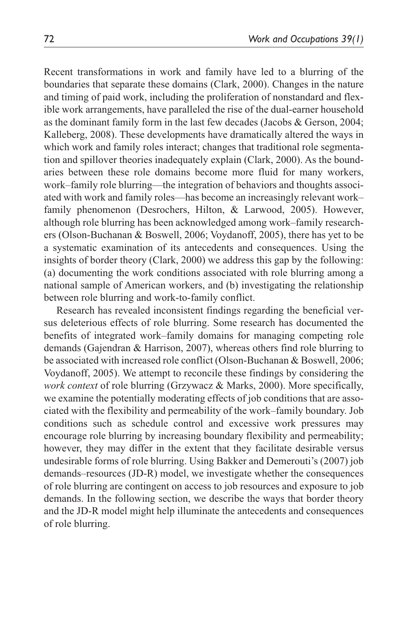Recent transformations in work and family have led to a blurring of the boundaries that separate these domains (Clark, 2000). Changes in the nature and timing of paid work, including the proliferation of nonstandard and flexible work arrangements, have paralleled the rise of the dual-earner household as the dominant family form in the last few decades (Jacobs & Gerson, 2004; Kalleberg, 2008). These developments have dramatically altered the ways in which work and family roles interact; changes that traditional role segmentation and spillover theories inadequately explain (Clark, 2000). As the boundaries between these role domains become more fluid for many workers, work–family role blurring—the integration of behaviors and thoughts associated with work and family roles—has become an increasingly relevant work– family phenomenon (Desrochers, Hilton, & Larwood, 2005). However, although role blurring has been acknowledged among work–family researchers (Olson-Buchanan & Boswell, 2006; Voydanoff, 2005), there has yet to be a systematic examination of its antecedents and consequences. Using the insights of border theory (Clark, 2000) we address this gap by the following: (a) documenting the work conditions associated with role blurring among a national sample of American workers, and (b) investigating the relationship between role blurring and work-to-family conflict.

Research has revealed inconsistent findings regarding the beneficial versus deleterious effects of role blurring. Some research has documented the benefits of integrated work–family domains for managing competing role demands (Gajendran & Harrison, 2007), whereas others find role blurring to be associated with increased role conflict (Olson-Buchanan & Boswell, 2006; Voydanoff, 2005). We attempt to reconcile these findings by considering the *work context* of role blurring (Grzywacz & Marks, 2000). More specifically, we examine the potentially moderating effects of job conditions that are associated with the flexibility and permeability of the work–family boundary. Job conditions such as schedule control and excessive work pressures may encourage role blurring by increasing boundary flexibility and permeability; however, they may differ in the extent that they facilitate desirable versus undesirable forms of role blurring. Using Bakker and Demerouti's (2007) job demands–resources (JD-R) model, we investigate whether the consequences of role blurring are contingent on access to job resources and exposure to job demands. In the following section, we describe the ways that border theory and the JD-R model might help illuminate the antecedents and consequences of role blurring.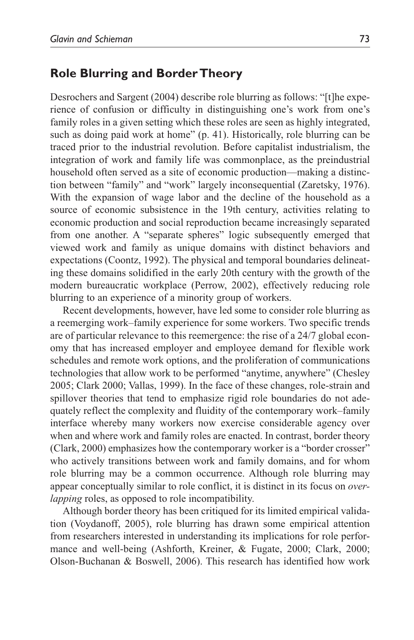#### **Role Blurring and Border Theory**

Desrochers and Sargent (2004) describe role blurring as follows: "[t]he experience of confusion or difficulty in distinguishing one's work from one's family roles in a given setting which these roles are seen as highly integrated, such as doing paid work at home" (p. 41). Historically, role blurring can be traced prior to the industrial revolution. Before capitalist industrialism, the integration of work and family life was commonplace, as the preindustrial household often served as a site of economic production—making a distinction between "family" and "work" largely inconsequential (Zaretsky, 1976). With the expansion of wage labor and the decline of the household as a source of economic subsistence in the 19th century, activities relating to economic production and social reproduction became increasingly separated from one another. A "separate spheres" logic subsequently emerged that viewed work and family as unique domains with distinct behaviors and expectations (Coontz, 1992). The physical and temporal boundaries delineating these domains solidified in the early 20th century with the growth of the modern bureaucratic workplace (Perrow, 2002), effectively reducing role blurring to an experience of a minority group of workers.

Recent developments, however, have led some to consider role blurring as a reemerging work–family experience for some workers. Two specific trends are of particular relevance to this reemergence: the rise of a 24/7 global economy that has increased employer and employee demand for flexible work schedules and remote work options, and the proliferation of communications technologies that allow work to be performed "anytime, anywhere" (Chesley 2005; Clark 2000; Vallas, 1999). In the face of these changes, role-strain and spillover theories that tend to emphasize rigid role boundaries do not adequately reflect the complexity and fluidity of the contemporary work–family interface whereby many workers now exercise considerable agency over when and where work and family roles are enacted. In contrast, border theory (Clark, 2000) emphasizes how the contemporary worker is a "border crosser" who actively transitions between work and family domains, and for whom role blurring may be a common occurrence. Although role blurring may appear conceptually similar to role conflict, it is distinct in its focus on *overlapping* roles, as opposed to role incompatibility.

Although border theory has been critiqued for its limited empirical validation (Voydanoff, 2005), role blurring has drawn some empirical attention from researchers interested in understanding its implications for role performance and well-being (Ashforth, Kreiner, & Fugate, 2000; Clark, 2000; Olson-Buchanan & Boswell, 2006). This research has identified how work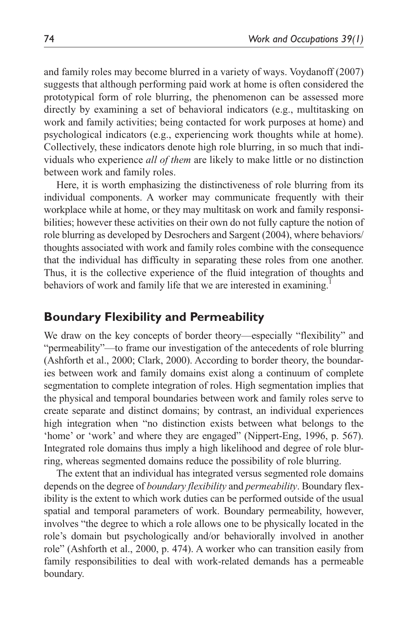and family roles may become blurred in a variety of ways. Voydanoff (2007) suggests that although performing paid work at home is often considered the prototypical form of role blurring, the phenomenon can be assessed more directly by examining a set of behavioral indicators (e.g., multitasking on work and family activities; being contacted for work purposes at home) and psychological indicators (e.g., experiencing work thoughts while at home). Collectively, these indicators denote high role blurring, in so much that individuals who experience *all of them* are likely to make little or no distinction between work and family roles.

Here, it is worth emphasizing the distinctiveness of role blurring from its individual components. A worker may communicate frequently with their workplace while at home, or they may multitask on work and family responsibilities; however these activities on their own do not fully capture the notion of role blurring as developed by Desrochers and Sargent (2004), where behaviors/ thoughts associated with work and family roles combine with the consequence that the individual has difficulty in separating these roles from one another. Thus, it is the collective experience of the fluid integration of thoughts and behaviors of work and family life that we are interested in examining.

#### **Boundary Flexibility and Permeability**

We draw on the key concepts of border theory—especially "flexibility" and "permeability"—to frame our investigation of the antecedents of role blurring (Ashforth et al., 2000; Clark, 2000). According to border theory, the boundaries between work and family domains exist along a continuum of complete segmentation to complete integration of roles. High segmentation implies that the physical and temporal boundaries between work and family roles serve to create separate and distinct domains; by contrast, an individual experiences high integration when "no distinction exists between what belongs to the 'home' or 'work' and where they are engaged" (Nippert-Eng, 1996, p. 567). Integrated role domains thus imply a high likelihood and degree of role blurring, whereas segmented domains reduce the possibility of role blurring.

The extent that an individual has integrated versus segmented role domains depends on the degree of *boundary flexibility* and *permeability*. Boundary flexibility is the extent to which work duties can be performed outside of the usual spatial and temporal parameters of work. Boundary permeability, however, involves "the degree to which a role allows one to be physically located in the role's domain but psychologically and/or behaviorally involved in another role" (Ashforth et al., 2000, p. 474). A worker who can transition easily from family responsibilities to deal with work-related demands has a permeable boundary.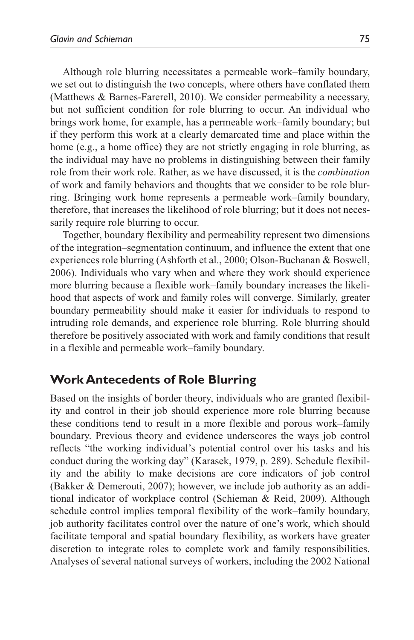Although role blurring necessitates a permeable work–family boundary, we set out to distinguish the two concepts, where others have conflated them (Matthews & Barnes-Farerell, 2010). We consider permeability a necessary, but not sufficient condition for role blurring to occur. An individual who brings work home, for example, has a permeable work–family boundary; but if they perform this work at a clearly demarcated time and place within the home (e.g., a home office) they are not strictly engaging in role blurring, as the individual may have no problems in distinguishing between their family role from their work role. Rather, as we have discussed, it is the *combination* of work and family behaviors and thoughts that we consider to be role blurring. Bringing work home represents a permeable work–family boundary, therefore, that increases the likelihood of role blurring; but it does not necessarily require role blurring to occur.

Together, boundary flexibility and permeability represent two dimensions of the integration–segmentation continuum, and influence the extent that one experiences role blurring (Ashforth et al., 2000; Olson-Buchanan & Boswell, 2006). Individuals who vary when and where they work should experience more blurring because a flexible work–family boundary increases the likelihood that aspects of work and family roles will converge. Similarly, greater boundary permeability should make it easier for individuals to respond to intruding role demands, and experience role blurring. Role blurring should therefore be positively associated with work and family conditions that result in a flexible and permeable work–family boundary.

## **Work Antecedents of Role Blurring**

Based on the insights of border theory, individuals who are granted flexibility and control in their job should experience more role blurring because these conditions tend to result in a more flexible and porous work–family boundary. Previous theory and evidence underscores the ways job control reflects "the working individual's potential control over his tasks and his conduct during the working day" (Karasek, 1979, p. 289). Schedule flexibility and the ability to make decisions are core indicators of job control (Bakker & Demerouti, 2007); however, we include job authority as an additional indicator of workplace control (Schieman & Reid, 2009). Although schedule control implies temporal flexibility of the work–family boundary, job authority facilitates control over the nature of one's work, which should facilitate temporal and spatial boundary flexibility, as workers have greater discretion to integrate roles to complete work and family responsibilities. Analyses of several national surveys of workers, including the 2002 National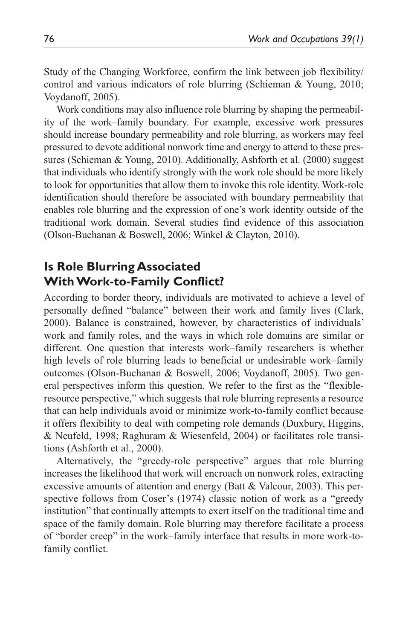Study of the Changing Workforce, confirm the link between job flexibility/ control and various indicators of role blurring (Schieman & Young, 2010; Voydanoff, 2005).

Work conditions may also influence role blurring by shaping the permeability of the work–family boundary. For example, excessive work pressures should increase boundary permeability and role blurring, as workers may feel pressured to devote additional nonwork time and energy to attend to these pressures (Schieman & Young, 2010). Additionally, Ashforth et al. (2000) suggest that individuals who identify strongly with the work role should be more likely to look for opportunities that allow them to invoke this role identity. Work-role identification should therefore be associated with boundary permeability that enables role blurring and the expression of one's work identity outside of the traditional work domain. Several studies find evidence of this association (Olson-Buchanan & Boswell, 2006; Winkel & Clayton, 2010).

# **Is Role Blurring Associated With Work-to-Family Conflict?**

According to border theory, individuals are motivated to achieve a level of personally defined "balance" between their work and family lives (Clark, 2000). Balance is constrained, however, by characteristics of individuals' work and family roles, and the ways in which role domains are similar or different. One question that interests work–family researchers is whether high levels of role blurring leads to beneficial or undesirable work–family outcomes (Olson-Buchanan & Boswell, 2006; Voydanoff, 2005). Two general perspectives inform this question. We refer to the first as the "flexibleresource perspective," which suggests that role blurring represents a resource that can help individuals avoid or minimize work-to-family conflict because it offers flexibility to deal with competing role demands (Duxbury, Higgins, & Neufeld, 1998; Raghuram & Wiesenfeld, 2004) or facilitates role transitions (Ashforth et al., 2000).

Alternatively, the "greedy-role perspective" argues that role blurring increases the likelihood that work will encroach on nonwork roles, extracting excessive amounts of attention and energy (Batt & Valcour, 2003). This perspective follows from Coser's (1974) classic notion of work as a "greedy institution" that continually attempts to exert itself on the traditional time and space of the family domain. Role blurring may therefore facilitate a process of "border creep" in the work–family interface that results in more work-tofamily conflict.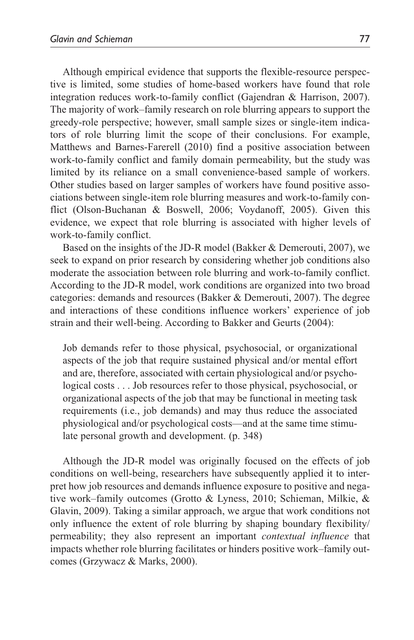Although empirical evidence that supports the flexible-resource perspective is limited, some studies of home-based workers have found that role integration reduces work-to-family conflict (Gajendran & Harrison, 2007). The majority of work–family research on role blurring appears to support the greedy-role perspective; however, small sample sizes or single-item indicators of role blurring limit the scope of their conclusions. For example, Matthews and Barnes-Farerell (2010) find a positive association between work-to-family conflict and family domain permeability, but the study was limited by its reliance on a small convenience-based sample of workers. Other studies based on larger samples of workers have found positive associations between single-item role blurring measures and work-to-family conflict (Olson-Buchanan & Boswell, 2006; Voydanoff, 2005). Given this evidence, we expect that role blurring is associated with higher levels of work-to-family conflict.

Based on the insights of the JD-R model (Bakker & Demerouti, 2007), we seek to expand on prior research by considering whether job conditions also moderate the association between role blurring and work-to-family conflict. According to the JD-R model, work conditions are organized into two broad categories: demands and resources (Bakker & Demerouti, 2007). The degree and interactions of these conditions influence workers' experience of job strain and their well-being. According to Bakker and Geurts (2004):

Job demands refer to those physical, psychosocial, or organizational aspects of the job that require sustained physical and/or mental effort and are, therefore, associated with certain physiological and/or psychological costs . . . Job resources refer to those physical, psychosocial, or organizational aspects of the job that may be functional in meeting task requirements (i.e., job demands) and may thus reduce the associated physiological and/or psychological costs—and at the same time stimulate personal growth and development. (p. 348)

Although the JD-R model was originally focused on the effects of job conditions on well-being, researchers have subsequently applied it to interpret how job resources and demands influence exposure to positive and negative work–family outcomes (Grotto & Lyness, 2010; Schieman, Milkie, & Glavin, 2009). Taking a similar approach, we argue that work conditions not only influence the extent of role blurring by shaping boundary flexibility/ permeability; they also represent an important *contextual influence* that impacts whether role blurring facilitates or hinders positive work–family outcomes (Grzywacz & Marks, 2000).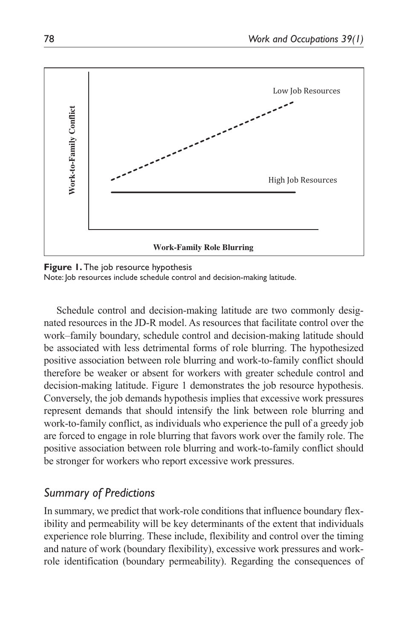

**Figure 1.** The job resource hypothesis

Note: Job resources include schedule control and decision-making latitude.

Schedule control and decision-making latitude are two commonly designated resources in the JD-R model. As resources that facilitate control over the work–family boundary, schedule control and decision-making latitude should be associated with less detrimental forms of role blurring. The hypothesized positive association between role blurring and work-to-family conflict should therefore be weaker or absent for workers with greater schedule control and decision-making latitude. Figure 1 demonstrates the job resource hypothesis. Conversely, the job demands hypothesis implies that excessive work pressures represent demands that should intensify the link between role blurring and work-to-family conflict, as individuals who experience the pull of a greedy job are forced to engage in role blurring that favors work over the family role. The positive association between role blurring and work-to-family conflict should be stronger for workers who report excessive work pressures. **Example 12**<br> **Register in the properties of the consequence of the consequence of the consequence of the properties of the state of the properties of the properties of the properties of the control and decision-making lat** 

## *Summary of Predictions*

In summary, we predict that work-role conditions that influence boundary flexibility and permeability will be key determinants of the extent that individuals experience role blurring. These include, flexibility and control over the timing and nature of work (boundary flexibility), excessive work pressures and work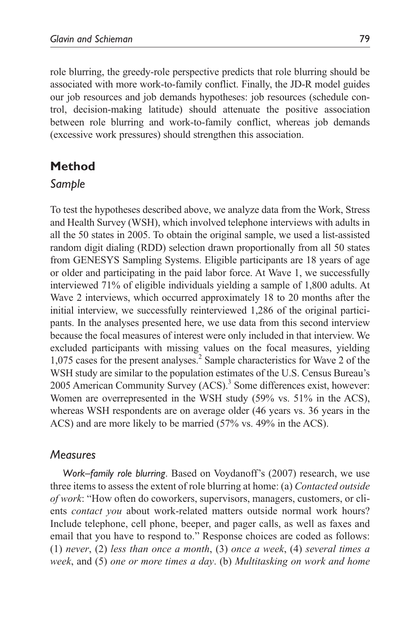role blurring, the greedy-role perspective predicts that role blurring should be associated with more work-to-family conflict. Finally, the JD-R model guides our job resources and job demands hypotheses: job resources (schedule control, decision-making latitude) should attenuate the positive association between role blurring and work-to-family conflict, whereas job demands (excessive work pressures) should strengthen this association.

## **Method**

#### *Sample*

To test the hypotheses described above, we analyze data from the Work, Stress and Health Survey (WSH), which involved telephone interviews with adults in all the 50 states in 2005. To obtain the original sample, we used a list-assisted random digit dialing (RDD) selection drawn proportionally from all 50 states from GENESYS Sampling Systems. Eligible participants are 18 years of age or older and participating in the paid labor force. At Wave 1, we successfully interviewed 71% of eligible individuals yielding a sample of 1,800 adults. At Wave 2 interviews, which occurred approximately 18 to 20 months after the initial interview, we successfully reinterviewed 1,286 of the original participants. In the analyses presented here, we use data from this second interview because the focal measures of interest were only included in that interview. We excluded participants with missing values on the focal measures, yielding 1,075 cases for the present analyses.<sup>2</sup> Sample characteristics for Wave 2 of the WSH study are similar to the population estimates of the U.S. Census Bureau's 2005 American Community Survey (ACS).<sup>3</sup> Some differences exist, however: Women are overrepresented in the WSH study (59% vs. 51% in the ACS), whereas WSH respondents are on average older (46 years vs. 36 years in the ACS) and are more likely to be married (57% vs. 49% in the ACS).

#### *Measures*

*Work–family role blurring*. Based on Voydanoff's (2007) research, we use three items to assess the extent of role blurring at home: (a) *Contacted outside of work*: "How often do coworkers, supervisors, managers, customers, or clients *contact you* about work-related matters outside normal work hours? Include telephone, cell phone, beeper, and pager calls, as well as faxes and email that you have to respond to." Response choices are coded as follows: (1) *never*, (2) *less than once a month*, (3) *once a week*, (4) *several times a week*, and (5) *one or more times a day*. (b) *Multitasking on work and home*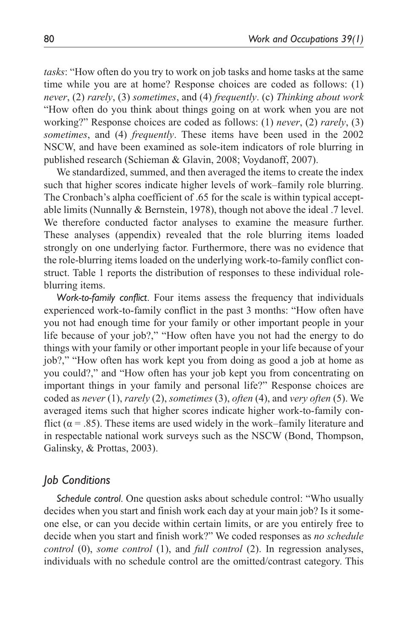*tasks*: "How often do you try to work on job tasks and home tasks at the same time while you are at home? Response choices are coded as follows: (1) *never*, (2) *rarely*, (3) *sometimes*, and (4) *frequently*. (c) *Thinking about work* "How often do you think about things going on at work when you are not working?" Response choices are coded as follows: (1) *never*, (2) *rarely*, (3) *sometimes*, and (4) *frequently*. These items have been used in the 2002 NSCW, and have been examined as sole-item indicators of role blurring in published research (Schieman & Glavin, 2008; Voydanoff, 2007).

We standardized, summed, and then averaged the items to create the index such that higher scores indicate higher levels of work–family role blurring. The Cronbach's alpha coefficient of .65 for the scale is within typical acceptable limits (Nunnally & Bernstein, 1978), though not above the ideal .7 level. We therefore conducted factor analyses to examine the measure further. These analyses (appendix) revealed that the role blurring items loaded strongly on one underlying factor. Furthermore, there was no evidence that the role-blurring items loaded on the underlying work-to-family conflict construct. Table 1 reports the distribution of responses to these individual roleblurring items.

*Work-to-family conflict*. Four items assess the frequency that individuals experienced work-to-family conflict in the past 3 months: "How often have you not had enough time for your family or other important people in your life because of your job?," "How often have you not had the energy to do things with your family or other important people in your life because of your job?," "How often has work kept you from doing as good a job at home as you could?," and "How often has your job kept you from concentrating on important things in your family and personal life?" Response choices are coded as *never* (1), *rarely* (2), *sometimes* (3), *often* (4), and *very often* (5). We averaged items such that higher scores indicate higher work-to-family conflict ( $\alpha$  = .85). These items are used widely in the work–family literature and in respectable national work surveys such as the NSCW (Bond, Thompson, Galinsky, & Prottas, 2003).

#### *Job Conditions*

*Schedule control*. One question asks about schedule control: "Who usually decides when you start and finish work each day at your main job? Is it someone else, or can you decide within certain limits, or are you entirely free to decide when you start and finish work?" We coded responses as *no schedule control* (0), *some control* (1), and *full control* (2). In regression analyses, individuals with no schedule control are the omitted/contrast category. This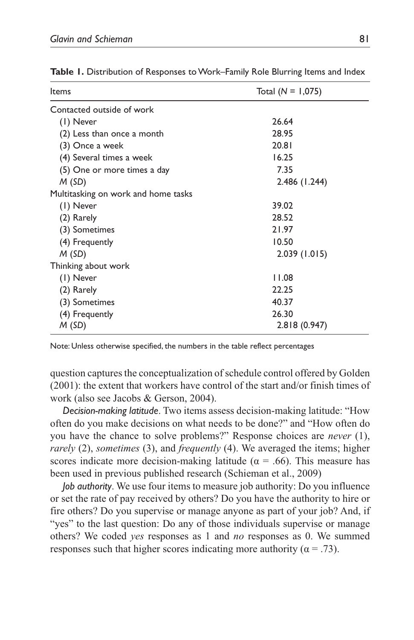| Items                               | Total $(N = 1,075)$ |  |
|-------------------------------------|---------------------|--|
| Contacted outside of work           |                     |  |
| (I) Never                           | 26.64               |  |
| (2) Less than once a month          | 28.95               |  |
| (3) Once a week                     | 20.81               |  |
| (4) Several times a week            | 16.25               |  |
| (5) One or more times a day         | 7.35                |  |
| M(SD)                               | 2.486 (1.244)       |  |
| Multitasking on work and home tasks |                     |  |
| (I) Never                           | 39.02               |  |
| (2) Rarely                          | 28.52               |  |
| (3) Sometimes                       | 21.97               |  |
| (4) Frequently                      | 10.50               |  |
| M(SD)                               | 2.039(1.015)        |  |
| Thinking about work                 |                     |  |
| (1) Never                           | 11.08               |  |
| (2) Rarely                          | 22.25               |  |
| (3) Sometimes                       | 40.37               |  |
| (4) Frequently                      | 26.30               |  |
| M(SD)                               | 2.818 (0.947)       |  |

**Table 1.** Distribution of Responses to Work–Family Role Blurring Items and Index

Note: Unless otherwise specified, the numbers in the table reflect percentages

question captures the conceptualization of schedule control offered by Golden (2001): the extent that workers have control of the start and/or finish times of work (also see Jacobs & Gerson, 2004).

*Decision-making latitude*. Two items assess decision-making latitude: "How often do you make decisions on what needs to be done?" and "How often do you have the chance to solve problems?" Response choices are *never* (1), *rarely* (2), *sometimes* (3), and *frequently* (4). We averaged the items; higher scores indicate more decision-making latitude ( $\alpha$  = .66). This measure has been used in previous published research (Schieman et al., 2009)

*Job authority*. We use four items to measure job authority: Do you influence or set the rate of pay received by others? Do you have the authority to hire or fire others? Do you supervise or manage anyone as part of your job? And, if "yes" to the last question: Do any of those individuals supervise or manage others? We coded *yes* responses as 1 and *no* responses as 0. We summed responses such that higher scores indicating more authority ( $\alpha = .73$ ).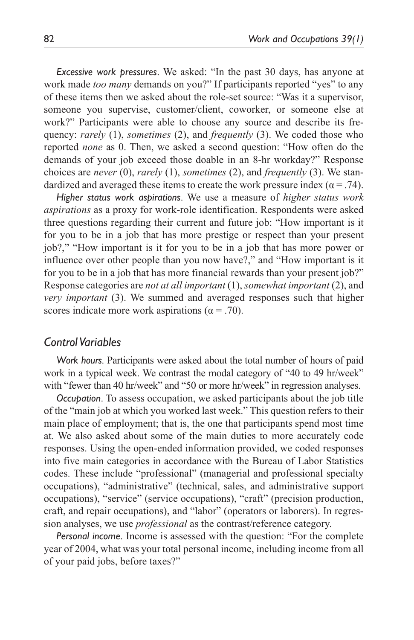*Excessive work pressures*. We asked: "In the past 30 days, has anyone at work made *too many* demands on you?" If participants reported "yes" to any of these items then we asked about the role-set source: "Was it a supervisor, someone you supervise, customer/client, coworker, or someone else at work?" Participants were able to choose any source and describe its frequency: *rarely* (1), *sometimes* (2), and *frequently* (3). We coded those who reported *none* as 0. Then, we asked a second question: "How often do the demands of your job exceed those doable in an 8-hr workday?" Response choices are *never* (0), *rarely* (1), *sometimes* (2), and *frequently* (3). We standardized and averaged these items to create the work pressure index ( $\alpha$  = .74).

*Higher status work aspirations*. We use a measure of *higher status work aspirations* as a proxy for work-role identification. Respondents were asked three questions regarding their current and future job: "How important is it for you to be in a job that has more prestige or respect than your present job?," "How important is it for you to be in a job that has more power or influence over other people than you now have?," and "How important is it for you to be in a job that has more financial rewards than your present job?" Response categories are *not at all important* (1), *somewhat important* (2), and *very important* (3). We summed and averaged responses such that higher scores indicate more work aspirations ( $\alpha$  = .70).

#### *Control Variables*

*Work hours*. Participants were asked about the total number of hours of paid work in a typical week. We contrast the modal category of "40 to 49 hr/week" with "fewer than 40 hr/week" and "50 or more hr/week" in regression analyses.

*Occupation*. To assess occupation, we asked participants about the job title of the "main job at which you worked last week." This question refers to their main place of employment; that is, the one that participants spend most time at. We also asked about some of the main duties to more accurately code responses. Using the open-ended information provided, we coded responses into five main categories in accordance with the Bureau of Labor Statistics codes. These include "professional" (managerial and professional specialty occupations), "administrative" (technical, sales, and administrative support occupations), "service" (service occupations), "craft" (precision production, craft, and repair occupations), and "labor" (operators or laborers). In regression analyses, we use *professional* as the contrast/reference category.

*Personal income*. Income is assessed with the question: "For the complete year of 2004, what was your total personal income, including income from all of your paid jobs, before taxes?"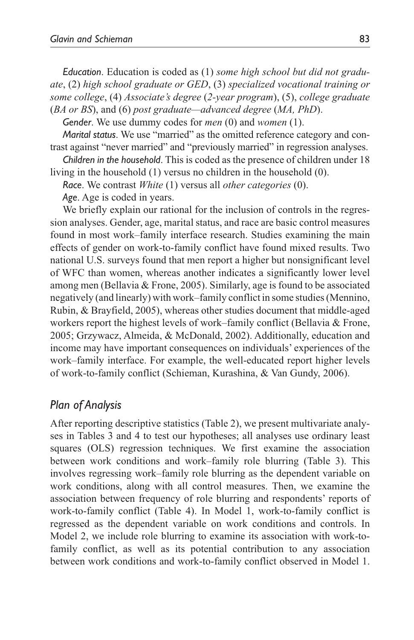*Education*. Education is coded as (1) *some high school but did not graduate*, (2) *high school graduate or GED*, (3) *specialized vocational training or some college*, (4) *Associate's degree* (*2-year program*), (5), *college graduate* (*BA or BS*), and (6) *post graduate—advanced degree* (*MA, PhD*).

*Gender*. We use dummy codes for *men* (0) and *women* (1).

*Marital status*. We use "married" as the omitted reference category and contrast against "never married" and "previously married" in regression analyses.

*Children in the household*. This is coded as the presence of children under 18 living in the household (1) versus no children in the household (0).

*Race*. We contrast *White* (1) versus all *other categories* (0).

*Age*. Age is coded in years.

We briefly explain our rational for the inclusion of controls in the regression analyses. Gender, age, marital status, and race are basic control measures found in most work–family interface research. Studies examining the main effects of gender on work-to-family conflict have found mixed results. Two national U.S. surveys found that men report a higher but nonsignificant level of WFC than women, whereas another indicates a significantly lower level among men (Bellavia & Frone, 2005). Similarly, age is found to be associated negatively (and linearly) with work–family conflict in some studies (Mennino, Rubin, & Brayfield, 2005), whereas other studies document that middle-aged workers report the highest levels of work–family conflict (Bellavia & Frone, 2005; Grzywacz, Almeida, & McDonald, 2002). Additionally, education and income may have important consequences on individuals' experiences of the work–family interface. For example, the well-educated report higher levels of work-to-family conflict (Schieman, Kurashina, & Van Gundy, 2006).

#### *Plan of Analysis*

After reporting descriptive statistics (Table 2), we present multivariate analyses in Tables 3 and 4 to test our hypotheses; all analyses use ordinary least squares (OLS) regression techniques. We first examine the association between work conditions and work–family role blurring (Table 3). This involves regressing work–family role blurring as the dependent variable on work conditions, along with all control measures. Then, we examine the association between frequency of role blurring and respondents' reports of work-to-family conflict (Table 4). In Model 1, work-to-family conflict is regressed as the dependent variable on work conditions and controls. In Model 2, we include role blurring to examine its association with work-tofamily conflict, as well as its potential contribution to any association between work conditions and work-to-family conflict observed in Model 1.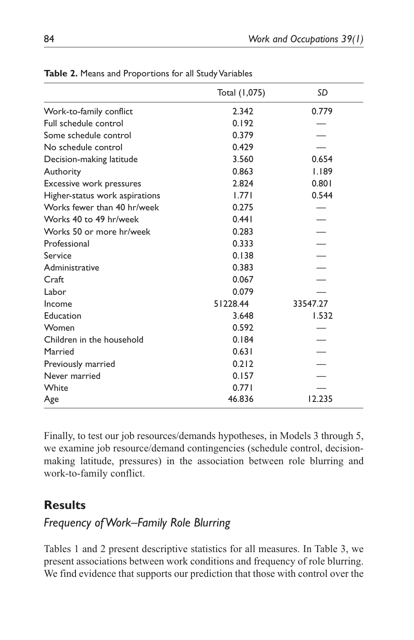|                                | Total (1,075) | SD       |  |
|--------------------------------|---------------|----------|--|
| Work-to-family conflict        | 2.342         | 0.779    |  |
| Full schedule control          | 0.192         |          |  |
| Some schedule control          | 0.379         |          |  |
| No schedule control            | 0.429         |          |  |
| Decision-making latitude       | 3.560         | 0.654    |  |
| Authority                      | 0.863         | 1.189    |  |
| Excessive work pressures       | 2.824         | 0.801    |  |
| Higher-status work aspirations | 1.771         | 0.544    |  |
| Works fewer than 40 hr/week    | 0.275         |          |  |
| Works 40 to 49 hr/week         | 0.441         |          |  |
| Works 50 or more hr/week       | 0.283         |          |  |
| Professional                   | 0.333         |          |  |
| Service                        | 0.138         |          |  |
| Administrative                 | 0.383         |          |  |
| Craft                          | 0.067         |          |  |
| Labor                          | 0.079         |          |  |
| Income                         | 51228.44      | 33547.27 |  |
| Education                      | 3.648         | 1.532    |  |
| Women                          | 0.592         |          |  |
| Children in the household      | 0.184         |          |  |
| Married                        | 0.631         |          |  |
| Previously married             | 0.212         |          |  |
| Never married                  | 0.157         |          |  |
| White                          | 0.771         |          |  |
| Age                            | 46.836        | 12.235   |  |
|                                |               |          |  |

**Table 2.** Means and Proportions for all Study Variables

Finally, to test our job resources/demands hypotheses, in Models 3 through 5, we examine job resource/demand contingencies (schedule control, decisionmaking latitude, pressures) in the association between role blurring and work-to-family conflict.

# **Results**

## *Frequency of Work–Family Role Blurring*

Tables 1 and 2 present descriptive statistics for all measures. In Table 3, we present associations between work conditions and frequency of role blurring. We find evidence that supports our prediction that those with control over the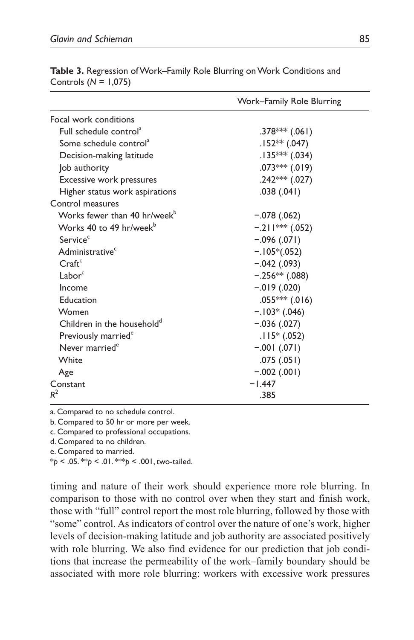|                                          | Work-Family Role Blurring          |  |
|------------------------------------------|------------------------------------|--|
| Focal work conditions                    |                                    |  |
| Full schedule control <sup>a</sup>       | $.378***$ $(.061)$                 |  |
| Some schedule control <sup>a</sup>       | $.152*** (.047)$                   |  |
| Decision-making latitude                 | $.135***$ (.034)                   |  |
| Job authority                            | $.073***(.019)$                    |  |
| Excessive work pressures                 | .242*** (.027)                     |  |
| Higher status work aspirations           | .038(.041)                         |  |
| Control measures                         |                                    |  |
| Works fewer than 40 hr/week <sup>b</sup> | $-.078(.062)$                      |  |
| Works 40 to 49 hr/week <sup>b</sup>      | $-.211***(.052)$                   |  |
| Service <sup>c</sup>                     | $-0.096$ (.071)                    |  |
| Administrative <sup>c</sup>              | $-.105*(.052)$                     |  |
| Craft <sup>c</sup>                       | $-.042(.093)$                      |  |
| $L$ abor $\textdegree$                   | $-.256**(.088)$                    |  |
| Income                                   | $-0.019(0.020)$<br>$.055***(.016)$ |  |
| Education                                |                                    |  |
| Women                                    | $-.103*(.046)$                     |  |
| Children in the household <sup>d</sup>   | $-.036(.027)$                      |  |
| Previously married <sup>e</sup>          | $.115*(.052)$                      |  |
| Never married <sup>e</sup>               | $-0.01$ (.071)                     |  |
| White                                    | .075(.051)                         |  |
| Age                                      | $-.002(.001)$                      |  |
| Constant                                 | $-1.447$                           |  |
| $R^2$                                    | .385                               |  |

**Table 3.** Regression of Work–Family Role Blurring on Work Conditions and Controls (*N* = 1,075)

a. Compared to no schedule control.

b. Compared to 50 hr or more per week.

c. Compared to professional occupations.

d. Compared to no children.

e. Compared to married.

\**p* < .05. \*\**p* < .01. \*\*\**p* < .001, two-tailed.

timing and nature of their work should experience more role blurring. In comparison to those with no control over when they start and finish work, those with "full" control report the most role blurring, followed by those with "some" control. As indicators of control over the nature of one's work, higher levels of decision-making latitude and job authority are associated positively with role blurring. We also find evidence for our prediction that job conditions that increase the permeability of the work–family boundary should be associated with more role blurring: workers with excessive work pressures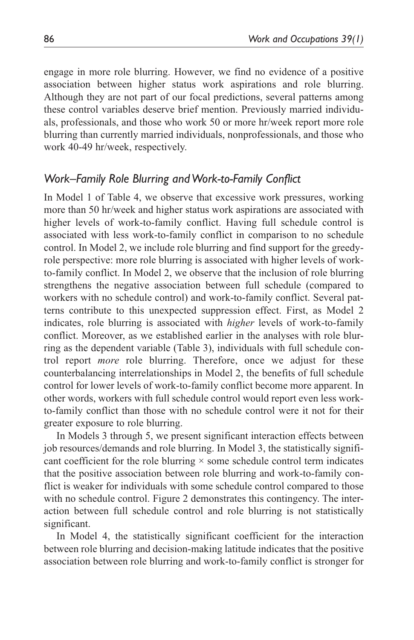engage in more role blurring. However, we find no evidence of a positive association between higher status work aspirations and role blurring. Although they are not part of our focal predictions, several patterns among these control variables deserve brief mention. Previously married individuals, professionals, and those who work 50 or more hr/week report more role blurring than currently married individuals, nonprofessionals, and those who work 40-49 hr/week, respectively.

#### *Work–Family Role Blurring and Work-to-Family Conflict*

In Model 1 of Table 4, we observe that excessive work pressures, working more than 50 hr/week and higher status work aspirations are associated with higher levels of work-to-family conflict. Having full schedule control is associated with less work-to-family conflict in comparison to no schedule control. In Model 2, we include role blurring and find support for the greedyrole perspective: more role blurring is associated with higher levels of workto-family conflict. In Model 2, we observe that the inclusion of role blurring strengthens the negative association between full schedule (compared to workers with no schedule control) and work-to-family conflict. Several patterns contribute to this unexpected suppression effect. First, as Model 2 indicates, role blurring is associated with *higher* levels of work-to-family conflict. Moreover, as we established earlier in the analyses with role blurring as the dependent variable (Table 3), individuals with full schedule control report *more* role blurring. Therefore, once we adjust for these counterbalancing interrelationships in Model 2, the benefits of full schedule control for lower levels of work-to-family conflict become more apparent. In other words, workers with full schedule control would report even less workto-family conflict than those with no schedule control were it not for their greater exposure to role blurring.

In Models 3 through 5, we present significant interaction effects between job resources/demands and role blurring. In Model 3, the statistically significant coefficient for the role blurring  $\times$  some schedule control term indicates that the positive association between role blurring and work-to-family conflict is weaker for individuals with some schedule control compared to those with no schedule control. Figure 2 demonstrates this contingency. The interaction between full schedule control and role blurring is not statistically significant.

In Model 4, the statistically significant coefficient for the interaction between role blurring and decision-making latitude indicates that the positive association between role blurring and work-to-family conflict is stronger for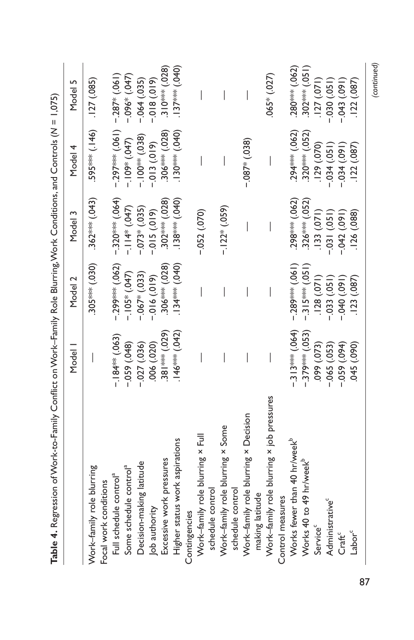| Table 4. Regression of Work-to-Family Conflict on Work-Family Role Blurring, Work Conditions, and Controls (N = 1,075) |                  |                          |                                       |                              |                   |
|------------------------------------------------------------------------------------------------------------------------|------------------|--------------------------|---------------------------------------|------------------------------|-------------------|
|                                                                                                                        | Model I          | Model 2                  | Model 3                               | Model 4                      | Model 5           |
| Work-family role blurring                                                                                              |                  | $.305***(.030)$          | $.362***(.043)$                       | $.595***(.146)$ . 127 (.085) |                   |
| Focal work conditions                                                                                                  |                  |                          |                                       |                              |                   |
| Full schedule control <sup>a</sup>                                                                                     | $-184**$ (.063)  | $-299***$ (.062)         | $-0.320***$ (.064)                    | $-297***$ (.061)             | $-0.287$ * (.061) |
| Some schedule control <sup>a</sup>                                                                                     | $-0.059(0.048)$  | $-105*(047)$             | $-114*(047)$                          | $-109*(047)$                 | $-0.096*(0.047)$  |
| Decision-making latitude                                                                                               | $-0.027(0.036)$  | $-067*$ (.033)           | $-0.073*(0.035)$                      | $-100$ <sup>**</sup> 001.    | $-064(035)$       |
| Job authority                                                                                                          | 006 (.020)       | $-0.016(0.19)$           | $-0.015(0.019)$                       | $-0.013(0.019)$              | $-0.018(0.9)$     |
| Excessive work pressures                                                                                               | 381**** (.029)   | 306**** (.028)           | 302**** (.028)                        | $306***$ (.028)              | $.310***$ (.028)  |
| Higher status work aspirations                                                                                         | $.146*** (.042)$ | (040)                    | (040)                                 | $(0+0.130***)$               | (040)             |
| Contingencies                                                                                                          |                  |                          |                                       |                              |                   |
| Work-family role blurring x Full                                                                                       |                  |                          | $-052(070)$                           |                              | I                 |
| schedule control                                                                                                       |                  |                          |                                       |                              |                   |
| Work-family role blurring × Some                                                                                       |                  |                          | $-122*(.059)$                         |                              |                   |
| schedule control                                                                                                       |                  |                          |                                       |                              |                   |
| Work-family role blurring × Decision                                                                                   |                  | $\overline{\phantom{a}}$ | $\begin{array}{c} \hline \end{array}$ | $-0.087$ * (0.038)           |                   |
| making latitude                                                                                                        |                  |                          |                                       |                              |                   |
| Work-family role blurring x job pressures                                                                              |                  |                          |                                       |                              | $.065* (027)$     |
| Control measures                                                                                                       |                  |                          |                                       |                              |                   |
| Works fewer than 40 hr/week <sup>b</sup>                                                                               | $-313***$ (.064) | $-289***$ (.061)         | 1298**** (.062)                       | 1294**** (.062)              | (0.062)           |
| Works 40 to 49 hr/week <sup>b</sup>                                                                                    | $-379***$ (.053) | $-315***$ (.051)         | 326*** (.052)                         | 320**** (.052)               | $.302***(.051)$   |
| Service                                                                                                                | $(520)$ 660      | (128(071))               | (153(071)                             | $(070)$ (29)                 | (127(071)         |
| Administrative <sup>c</sup>                                                                                            | $-0.065(0.053)$  | $-0.033(0.051)$          | $-0.031(0.051)$                       | $-0.034(0.051)$              | $-030(051)$       |
| Craft <sup>c</sup>                                                                                                     | $-0.059(0.094)$  | $(160)(0+0.1)$           | $-0.042(091)$                         | $-0.034(091)$                | $-0.043(091)$     |
| $\mathsf{Labor}^c$                                                                                                     | 045 (.090)       | (087)                    | .126(.088)                            | (122)(087)                   | .122(.087)        |
|                                                                                                                        |                  |                          |                                       |                              | (continued)       |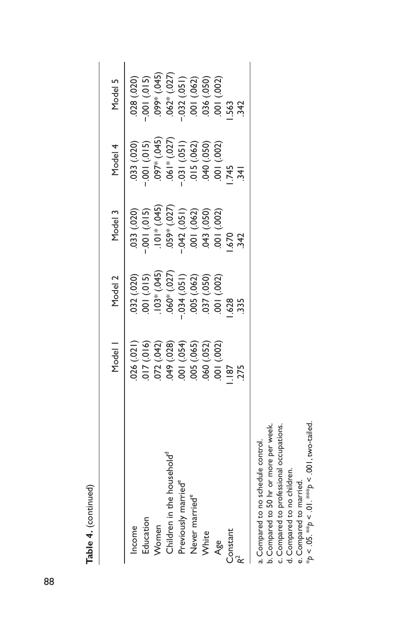|                                                      | Model                                                                                                                                                       | Model 2                                                                                                                                                                                                                             | Model 3                                                                                                                                                                                                                                                       | Model 4                                                                                                                                                                                                             | Model 5                                                                                                                                                                                                                                                                                                     |
|------------------------------------------------------|-------------------------------------------------------------------------------------------------------------------------------------------------------------|-------------------------------------------------------------------------------------------------------------------------------------------------------------------------------------------------------------------------------------|---------------------------------------------------------------------------------------------------------------------------------------------------------------------------------------------------------------------------------------------------------------|---------------------------------------------------------------------------------------------------------------------------------------------------------------------------------------------------------------------|-------------------------------------------------------------------------------------------------------------------------------------------------------------------------------------------------------------------------------------------------------------------------------------------------------------|
| ncome                                                | 026 (.021)                                                                                                                                                  |                                                                                                                                                                                                                                     |                                                                                                                                                                                                                                                               |                                                                                                                                                                                                                     |                                                                                                                                                                                                                                                                                                             |
| Education                                            |                                                                                                                                                             |                                                                                                                                                                                                                                     |                                                                                                                                                                                                                                                               |                                                                                                                                                                                                                     |                                                                                                                                                                                                                                                                                                             |
| Women                                                |                                                                                                                                                             |                                                                                                                                                                                                                                     |                                                                                                                                                                                                                                                               |                                                                                                                                                                                                                     |                                                                                                                                                                                                                                                                                                             |
| Children in the household <sup>®</sup>               | $\begin{array}{l} 017 \; (016) \\ 072 \; (042) \\ 072 \; (038) \\ 049 \; (038) \\ 001 \; (054) \\ 003 \; (065) \\ 060 \; (052) \\ 060 \; (002) \end{array}$ | $\begin{array}{l} 0.02 \ (0.02) \\ 0.01 \ (0.15) \\ 0.01 \ (0.15) \\ 0.03^* \ (0.45) \\ 0.60^* \ (0.27) \\ -0.34 \ (0.51) \\ 0.05 \ (0.62) \\ 0.07 \ (0.50) \\ 0.01 \ (0.02) \\ 0.01 \ (0.02) \\ 0.01 \ (0.02) \\ 0.02 \end{array}$ | $\begin{array}{l} .033~(020)\\ -001~(015)\\ 01^{*}~(045)\\ 0.01^{*}~(045)\\ -0.03^{*}~(027)\\ -0.042~(051)\\ 0.01~(062)\\ 0.01~(050)\\ 0.001~(0.002)\\ 0.01~(0.002)\\ 0.01~(0.002)\\ 0.01~(0.002)\\ 0.01~(0.002)\\ 0.01~(0.002)\\ 0.01~(0.002)\\ 0.01~(0.002$ | $0.33$ (.020)<br>$0.01$ (.015)<br>$0.097$ <sup>*</sup> (.045)<br>$0.97$ <sup>*</sup> (.045)<br>$0.61$ <sup>*</sup> (.027)<br>$0.61$ <sup>*</sup> (.027)<br>$0.5$<br>$0.15$ (.060)<br>$0.06$ (.050)<br>$0.06$ (.002) | $\begin{array}{l} .028\; (.020)\\ -001\; (.015)\\ 099* \; (.045)\\ 099* \; (.027)\\ 062* \; (.027)\\ 036 \; (.050)\\ 04\; (.062)\\ 056 \; (.050)\\ 056 \; (.002)\\ 061 \; (.002)\\ 076 \; (.002)\\ 086 \; (.002)\\ 091 \; (.002)\\ 01563 \; .342 \; .342 \; .342 \; .342 \; .342 \; .342 \; .342 \; .342 \$ |
| Previously married <sup>e</sup>                      |                                                                                                                                                             |                                                                                                                                                                                                                                     |                                                                                                                                                                                                                                                               |                                                                                                                                                                                                                     |                                                                                                                                                                                                                                                                                                             |
| Never married <sup>e</sup>                           |                                                                                                                                                             |                                                                                                                                                                                                                                     |                                                                                                                                                                                                                                                               |                                                                                                                                                                                                                     |                                                                                                                                                                                                                                                                                                             |
| White                                                |                                                                                                                                                             |                                                                                                                                                                                                                                     |                                                                                                                                                                                                                                                               |                                                                                                                                                                                                                     |                                                                                                                                                                                                                                                                                                             |
| Age                                                  |                                                                                                                                                             |                                                                                                                                                                                                                                     |                                                                                                                                                                                                                                                               |                                                                                                                                                                                                                     |                                                                                                                                                                                                                                                                                                             |
| Constant                                             | .187                                                                                                                                                        |                                                                                                                                                                                                                                     |                                                                                                                                                                                                                                                               |                                                                                                                                                                                                                     |                                                                                                                                                                                                                                                                                                             |
|                                                      | .275                                                                                                                                                        | 335                                                                                                                                                                                                                                 |                                                                                                                                                                                                                                                               |                                                                                                                                                                                                                     |                                                                                                                                                                                                                                                                                                             |
| a. Compared to no schedule control.<br>$\frac{1}{2}$ |                                                                                                                                                             |                                                                                                                                                                                                                                     |                                                                                                                                                                                                                                                               |                                                                                                                                                                                                                     |                                                                                                                                                                                                                                                                                                             |

b. Compared to 50 hr or more per week. b. Compared to 50 hr or more per week.

c. Compared to professional occupations. c. Compared to professional occupations.

d. Compared to no children. d. Compared to no children.

e. Compared to married.

e. Compared to married.<br>\* $p < .05$ . \*\* $p < .01$ . \*\*\* $p < .001$ , two-tailed. \**p* < .05. \*\**p* < .01. \*\*\**p* < .001, two-tailed.

**Table 4.** (continued)

Table 4. (continued)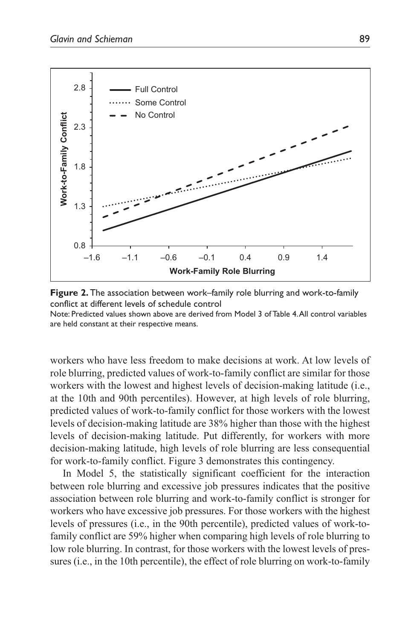



workers who have less freedom to make decisions at work. At low levels of role blurring, predicted values of work-to-family conflict are similar for those workers with the lowest and highest levels of decision-making latitude (i.e., at the 10th and 90th percentiles). However, at high levels of role blurring, predicted values of work-to-family conflict for those workers with the lowest levels of decision-making latitude are 38% higher than those with the highest levels of decision-making latitude. Put differently, for workers with more decision-making latitude, high levels of role blurring are less consequential for work-to-family conflict. Figure 3 demonstrates this contingency.

In Model 5, the statistically significant coefficient for the interaction between role blurring and excessive job pressures indicates that the positive association between role blurring and work-to-family conflict is stronger for workers who have excessive job pressures. For those workers with the highest levels of pressures (i.e., in the 90th percentile), predicted values of work-tofamily conflict are 59% higher when comparing high levels of role blurring to low role blurring. In contrast, for those workers with the lowest levels of pressures (i.e., in the 10th percentile), the effect of role blurring on work-to-family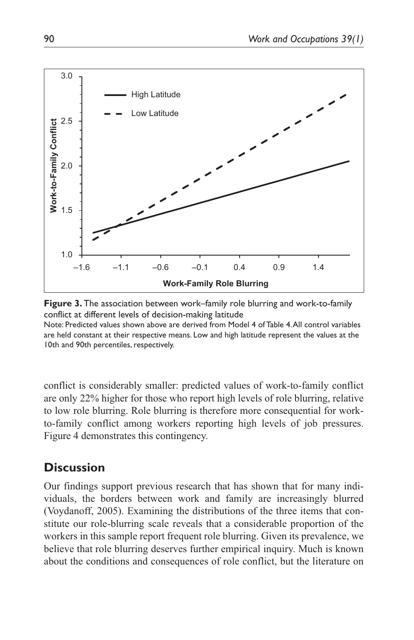



Note: Predicted values shown above are derived from Model 4 of Table 4. All control variables are held constant at their respective means. Low and high latitude represent the values at the 10th and 90th percentiles, respectively.

conflict is considerably smaller: predicted values of work-to-family conflict are only 22% higher for those who report high levels of role blurring, relative to low role blurring. Role blurring is therefore more consequential for workto-family conflict among workers reporting high levels of job pressures. Figure 4 demonstrates this contingency.

# **Discussion**

Our findings support previous research that has shown that for many individuals, the borders between work and family are increasingly blurred (Voydanoff, 2005). Examining the distributions of the three items that constitute our role-blurring scale reveals that a considerable proportion of the workers in this sample report frequent role blurring. Given its prevalence, we believe that role blurring deserves further empirical inquiry. Much is known about the conditions and consequences of role conflict, but the literature on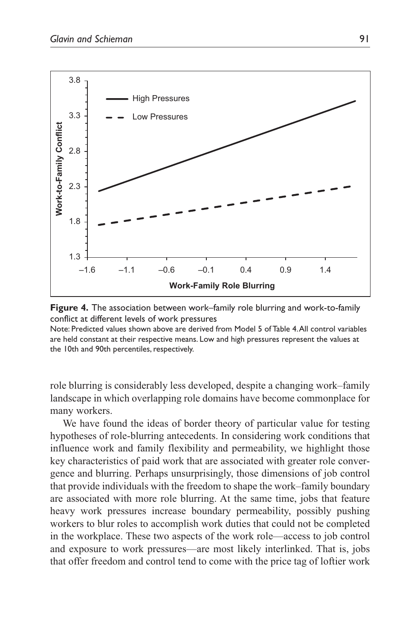



Note: Predicted values shown above are derived from Model 5 of Table 4. All control variables are held constant at their respective means. Low and high pressures represent the values at the 10th and 90th percentiles, respectively.

role blurring is considerably less developed, despite a changing work–family landscape in which overlapping role domains have become commonplace for many workers.

We have found the ideas of border theory of particular value for testing hypotheses of role-blurring antecedents. In considering work conditions that influence work and family flexibility and permeability, we highlight those key characteristics of paid work that are associated with greater role convergence and blurring. Perhaps unsurprisingly, those dimensions of job control that provide individuals with the freedom to shape the work–family boundary are associated with more role blurring. At the same time, jobs that feature heavy work pressures increase boundary permeability, possibly pushing workers to blur roles to accomplish work duties that could not be completed in the workplace. These two aspects of the work role—access to job control and exposure to work pressures—are most likely interlinked. That is, jobs that offer freedom and control tend to come with the price tag of loftier work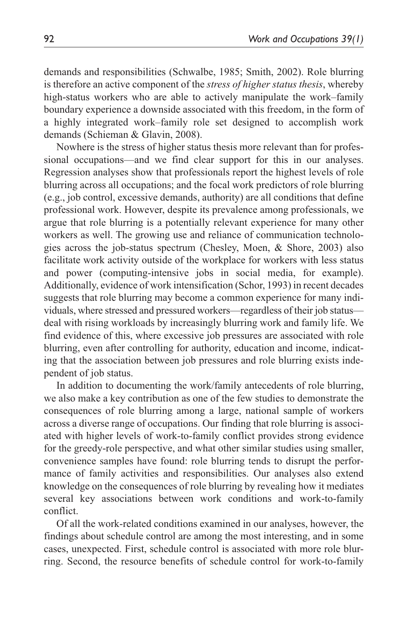demands and responsibilities (Schwalbe, 1985; Smith, 2002). Role blurring is therefore an active component of the *stress of higher status thesis*, whereby high-status workers who are able to actively manipulate the work–family boundary experience a downside associated with this freedom, in the form of a highly integrated work–family role set designed to accomplish work demands (Schieman & Glavin, 2008).

Nowhere is the stress of higher status thesis more relevant than for professional occupations—and we find clear support for this in our analyses. Regression analyses show that professionals report the highest levels of role blurring across all occupations; and the focal work predictors of role blurring (e.g., job control, excessive demands, authority) are all conditions that define professional work. However, despite its prevalence among professionals, we argue that role blurring is a potentially relevant experience for many other workers as well. The growing use and reliance of communication technologies across the job-status spectrum (Chesley, Moen, & Shore, 2003) also facilitate work activity outside of the workplace for workers with less status and power (computing-intensive jobs in social media, for example). Additionally, evidence of work intensification (Schor, 1993) in recent decades suggests that role blurring may become a common experience for many individuals, where stressed and pressured workers—regardless of their job status deal with rising workloads by increasingly blurring work and family life. We find evidence of this, where excessive job pressures are associated with role blurring, even after controlling for authority, education and income, indicating that the association between job pressures and role blurring exists independent of job status.

In addition to documenting the work/family antecedents of role blurring, we also make a key contribution as one of the few studies to demonstrate the consequences of role blurring among a large, national sample of workers across a diverse range of occupations. Our finding that role blurring is associated with higher levels of work-to-family conflict provides strong evidence for the greedy-role perspective, and what other similar studies using smaller, convenience samples have found: role blurring tends to disrupt the performance of family activities and responsibilities. Our analyses also extend knowledge on the consequences of role blurring by revealing how it mediates several key associations between work conditions and work-to-family conflict.

Of all the work-related conditions examined in our analyses, however, the findings about schedule control are among the most interesting, and in some cases, unexpected. First, schedule control is associated with more role blurring. Second, the resource benefits of schedule control for work-to-family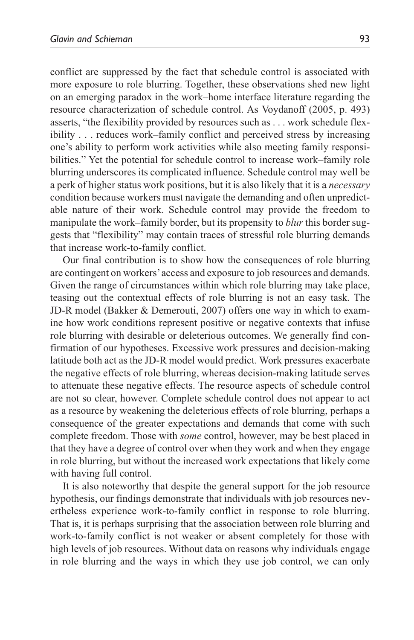conflict are suppressed by the fact that schedule control is associated with more exposure to role blurring. Together, these observations shed new light on an emerging paradox in the work–home interface literature regarding the resource characterization of schedule control. As Voydanoff (2005, p. 493) asserts, "the flexibility provided by resources such as . . . work schedule flexibility . . . reduces work–family conflict and perceived stress by increasing one's ability to perform work activities while also meeting family responsibilities." Yet the potential for schedule control to increase work–family role blurring underscores its complicated influence. Schedule control may well be a perk of higher status work positions, but it is also likely that it is a *necessary* condition because workers must navigate the demanding and often unpredictable nature of their work. Schedule control may provide the freedom to manipulate the work–family border, but its propensity to *blur* this border suggests that "flexibility" may contain traces of stressful role blurring demands that increase work-to-family conflict.

Our final contribution is to show how the consequences of role blurring are contingent on workers' access and exposure to job resources and demands. Given the range of circumstances within which role blurring may take place, teasing out the contextual effects of role blurring is not an easy task. The JD-R model (Bakker & Demerouti, 2007) offers one way in which to examine how work conditions represent positive or negative contexts that infuse role blurring with desirable or deleterious outcomes. We generally find confirmation of our hypotheses. Excessive work pressures and decision-making latitude both act as the JD-R model would predict. Work pressures exacerbate the negative effects of role blurring, whereas decision-making latitude serves to attenuate these negative effects. The resource aspects of schedule control are not so clear, however. Complete schedule control does not appear to act as a resource by weakening the deleterious effects of role blurring, perhaps a consequence of the greater expectations and demands that come with such complete freedom. Those with *some* control, however, may be best placed in that they have a degree of control over when they work and when they engage in role blurring, but without the increased work expectations that likely come with having full control.

It is also noteworthy that despite the general support for the job resource hypothesis, our findings demonstrate that individuals with job resources nevertheless experience work-to-family conflict in response to role blurring. That is, it is perhaps surprising that the association between role blurring and work-to-family conflict is not weaker or absent completely for those with high levels of job resources. Without data on reasons why individuals engage in role blurring and the ways in which they use job control, we can only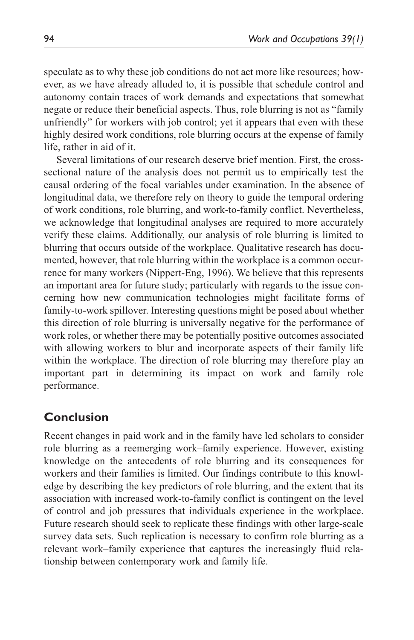speculate as to why these job conditions do not act more like resources; however, as we have already alluded to, it is possible that schedule control and autonomy contain traces of work demands and expectations that somewhat negate or reduce their beneficial aspects. Thus, role blurring is not as "family unfriendly" for workers with job control; yet it appears that even with these highly desired work conditions, role blurring occurs at the expense of family life, rather in aid of it.

Several limitations of our research deserve brief mention. First, the crosssectional nature of the analysis does not permit us to empirically test the causal ordering of the focal variables under examination. In the absence of longitudinal data, we therefore rely on theory to guide the temporal ordering of work conditions, role blurring, and work-to-family conflict. Nevertheless, we acknowledge that longitudinal analyses are required to more accurately verify these claims. Additionally, our analysis of role blurring is limited to blurring that occurs outside of the workplace. Qualitative research has documented, however, that role blurring within the workplace is a common occurrence for many workers (Nippert-Eng, 1996). We believe that this represents an important area for future study; particularly with regards to the issue concerning how new communication technologies might facilitate forms of family-to-work spillover. Interesting questions might be posed about whether this direction of role blurring is universally negative for the performance of work roles, or whether there may be potentially positive outcomes associated with allowing workers to blur and incorporate aspects of their family life within the workplace. The direction of role blurring may therefore play an important part in determining its impact on work and family role performance.

## **Conclusion**

Recent changes in paid work and in the family have led scholars to consider role blurring as a reemerging work–family experience. However, existing knowledge on the antecedents of role blurring and its consequences for workers and their families is limited. Our findings contribute to this knowledge by describing the key predictors of role blurring, and the extent that its association with increased work-to-family conflict is contingent on the level of control and job pressures that individuals experience in the workplace. Future research should seek to replicate these findings with other large-scale survey data sets. Such replication is necessary to confirm role blurring as a relevant work–family experience that captures the increasingly fluid relationship between contemporary work and family life.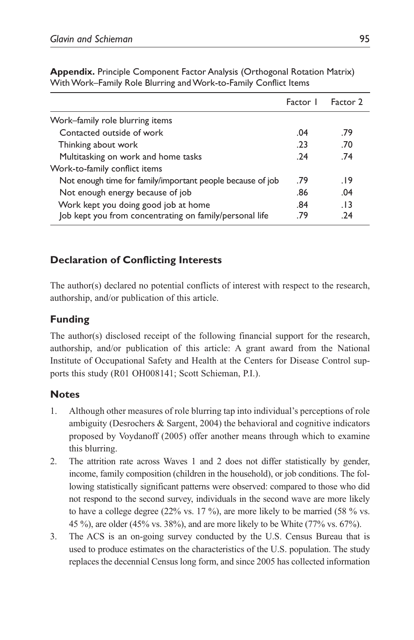|                                                            | Factor 1 | Factor <sub>2</sub> |
|------------------------------------------------------------|----------|---------------------|
| Work-family role blurring items                            |          |                     |
| Contacted outside of work                                  | .04      | .79                 |
| Thinking about work                                        | .23      | .70                 |
| Multitasking on work and home tasks                        | .24      | .74                 |
| Work-to-family conflict items                              |          |                     |
| Not enough time for family/important people because of job | .79      | .19                 |
| Not enough energy because of job                           | .86      | .04                 |
| Work kept you doing good job at home                       | .84      | .13                 |
| Job kept you from concentrating on family/personal life    | -79      | - 74                |

**Appendix.** Principle Component Factor Analysis (Orthogonal Rotation Matrix) With Work–Family Role Blurring and Work-to-Family Conflict Items

## **Declaration of Conflicting Interests**

The author(s) declared no potential conflicts of interest with respect to the research, authorship, and/or publication of this article.

## **Funding**

The author(s) disclosed receipt of the following financial support for the research, authorship, and/or publication of this article: A grant award from the National Institute of Occupational Safety and Health at the Centers for Disease Control supports this study (R01 OH008141; Scott Schieman, P.I.).

## **Notes**

- 1. Although other measures of role blurring tap into individual's perceptions of role ambiguity (Desrochers & Sargent, 2004) the behavioral and cognitive indicators proposed by Voydanoff (2005) offer another means through which to examine this blurring.
- 2. The attrition rate across Waves 1 and 2 does not differ statistically by gender, income, family composition (children in the household), or job conditions. The following statistically significant patterns were observed: compared to those who did not respond to the second survey, individuals in the second wave are more likely to have a college degree (22% vs.  $17\%$ ), are more likely to be married (58 % vs. 45 %), are older (45% vs. 38%), and are more likely to be White (77% vs. 67%).
- 3. The ACS is an on-going survey conducted by the U.S. Census Bureau that is used to produce estimates on the characteristics of the U.S. population. The study replaces the decennial Census long form, and since 2005 has collected information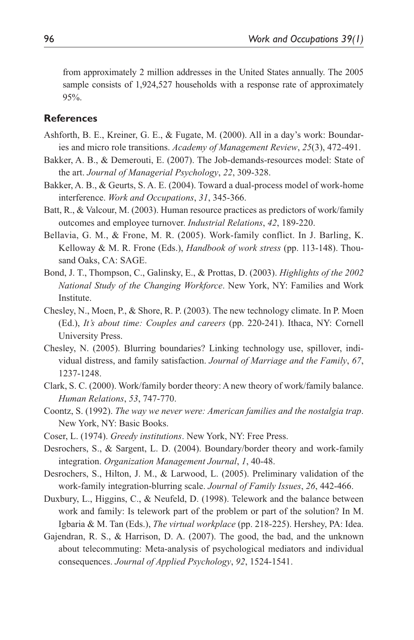from approximately 2 million addresses in the United States annually. The 2005 sample consists of 1,924,527 households with a response rate of approximately 95%.

#### **References**

- Ashforth, B. E., Kreiner, G. E., & Fugate, M. (2000). All in a day's work: Boundaries and micro role transitions. *Academy of Management Review*, *25*(3), 472-491.
- Bakker, A. B., & Demerouti, E. (2007). The Job-demands-resources model: State of the art. *Journal of Managerial Psychology*, *22*, 309-328.
- Bakker, A. B., & Geurts, S. A. E. (2004). Toward a dual-process model of work-home interference. *Work and Occupations*, *31*, 345-366.
- Batt, R., & Valcour, M. (2003). Human resource practices as predictors of work/family outcomes and employee turnover. *Industrial Relations*, *42*, 189-220.
- Bellavia, G. M., & Frone, M. R. (2005). Work-family conflict. In J. Barling, K. Kelloway & M. R. Frone (Eds.), *Handbook of work stress* (pp. 113-148). Thousand Oaks, CA: SAGE.
- Bond, J. T., Thompson, C., Galinsky, E., & Prottas, D. (2003). *Highlights of the 2002 National Study of the Changing Workforce*. New York, NY: Families and Work Institute.
- Chesley, N., Moen, P., & Shore, R. P. (2003). The new technology climate. In P. Moen (Ed.), *It's about time: Couples and careers* (pp. 220-241). Ithaca, NY: Cornell University Press.
- Chesley, N. (2005). Blurring boundaries? Linking technology use, spillover, individual distress, and family satisfaction. *Journal of Marriage and the Family*, *67*, 1237-1248.
- Clark, S. C. (2000). Work/family border theory: A new theory of work/family balance. *Human Relations*, *53*, 747-770.
- Coontz, S. (1992). *The way we never were: American families and the nostalgia trap*. New York, NY: Basic Books.
- Coser, L. (1974). *Greedy institutions*. New York, NY: Free Press.
- Desrochers, S., & Sargent, L. D. (2004). Boundary/border theory and work-family integration. *Organization Management Journal*, *1*, 40-48.
- Desrochers, S., Hilton, J. M., & Larwood, L. (2005). Preliminary validation of the work-family integration-blurring scale. *Journal of Family Issues*, *26*, 442-466.
- Duxbury, L., Higgins, C., & Neufeld, D. (1998). Telework and the balance between work and family: Is telework part of the problem or part of the solution? In M. Igbaria & M. Tan (Eds.), *The virtual workplace* (pp. 218-225). Hershey, PA: Idea.
- Gajendran, R. S., & Harrison, D. A. (2007). The good, the bad, and the unknown about telecommuting: Meta-analysis of psychological mediators and individual consequences. *Journal of Applied Psychology*, *92*, 1524-1541.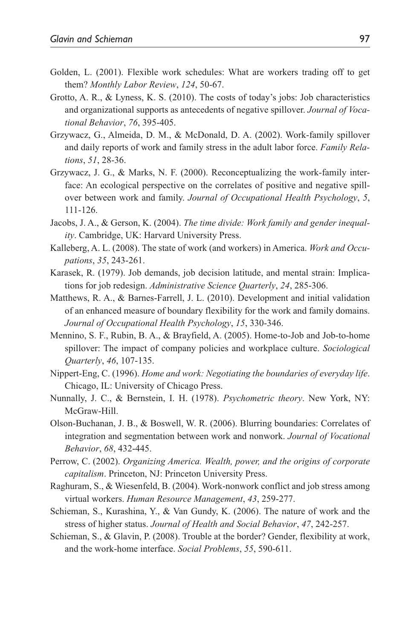- Golden, L. (2001). Flexible work schedules: What are workers trading off to get them? *Monthly Labor Review*, *124*, 50-67.
- Grotto, A. R., & Lyness, K. S. (2010). The costs of today's jobs: Job characteristics and organizational supports as antecedents of negative spillover. *Journal of Vocational Behavior*, *76*, 395-405.
- Grzywacz, G., Almeida, D. M., & McDonald, D. A. (2002). Work-family spillover and daily reports of work and family stress in the adult labor force. *Family Relations*, *51*, 28-36.
- Grzywacz, J. G., & Marks, N. F. (2000). Reconceptualizing the work-family interface: An ecological perspective on the correlates of positive and negative spillover between work and family. *Journal of Occupational Health Psychology*, *5*, 111-126.
- Jacobs, J. A., & Gerson, K. (2004). *The time divide: Work family and gender inequality*. Cambridge, UK: Harvard University Press.
- Kalleberg, A. L. (2008). The state of work (and workers) in America. *Work and Occupations*, *35*, 243-261.
- Karasek, R. (1979). Job demands, job decision latitude, and mental strain: Implications for job redesign. *Administrative Science Quarterly*, *24*, 285-306.
- Matthews, R. A., & Barnes-Farrell, J. L. (2010). Development and initial validation of an enhanced measure of boundary flexibility for the work and family domains. *Journal of Occupational Health Psychology*, *15*, 330-346.
- Mennino, S. F., Rubin, B. A., & Brayfield, A. (2005). Home-to-Job and Job-to-home spillover: The impact of company policies and workplace culture. *Sociological Quarterly*, *46*, 107-135.
- Nippert-Eng, C. (1996). *Home and work: Negotiating the boundaries of everyday life*. Chicago, IL: University of Chicago Press.
- Nunnally, J. C., & Bernstein, I. H. (1978). *Psychometric theory*. New York, NY: McGraw-Hill.
- Olson-Buchanan, J. B., & Boswell, W. R. (2006). Blurring boundaries: Correlates of integration and segmentation between work and nonwork. *Journal of Vocational Behavior*, *68*, 432-445.
- Perrow, C. (2002). *Organizing America. Wealth, power, and the origins of corporate capitalism*. Princeton, NJ: Princeton University Press.
- Raghuram, S., & Wiesenfeld, B. (2004). Work-nonwork conflict and job stress among virtual workers. *Human Resource Management*, *43*, 259-277.
- Schieman, S., Kurashina, Y., & Van Gundy, K. (2006). The nature of work and the stress of higher status. *Journal of Health and Social Behavior*, *47*, 242-257.
- Schieman, S., & Glavin, P. (2008). Trouble at the border? Gender, flexibility at work, and the work-home interface. *Social Problems*, *55*, 590-611.